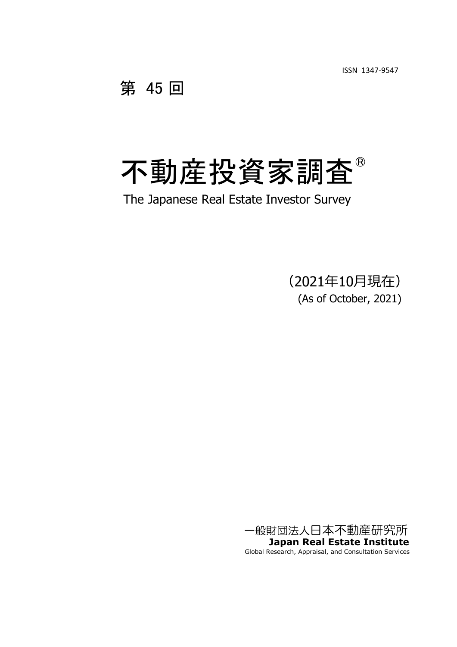ISSN 1347-9547

第 45 回

# 不動産投資家調査

The Japanese Real Estate Investor Survey

(2021年10月現在) (As of October, 2021)

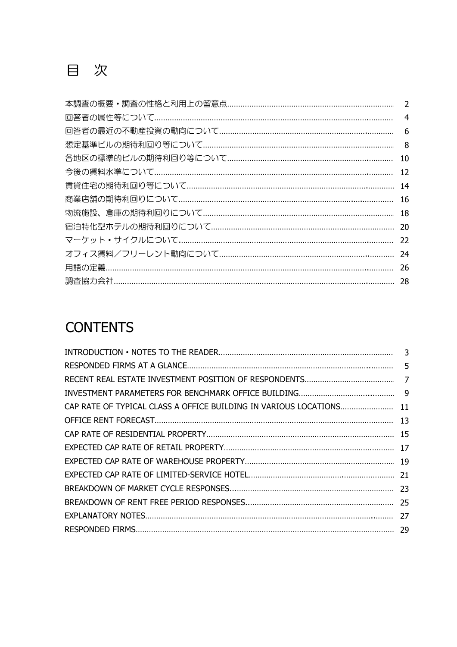|                                                    | 4 |
|----------------------------------------------------|---|
|                                                    |   |
| 想定基準ビルの期待利回り等について………………………………………………………………………………… 8 |   |
|                                                    |   |
|                                                    |   |
|                                                    |   |
|                                                    |   |
| 物流施設、倉庫の期待利回りについて……………………………………………………………………… 18    |   |
|                                                    |   |
|                                                    |   |
|                                                    |   |
|                                                    |   |
|                                                    |   |

# **CONTENTS**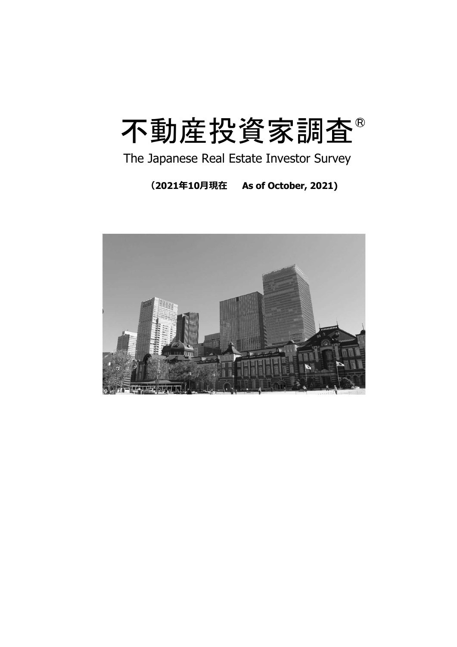# 不動産投資家調査

The Japanese Real Estate Investor Survey

**(2021年10月現在 As of October, 2021)**

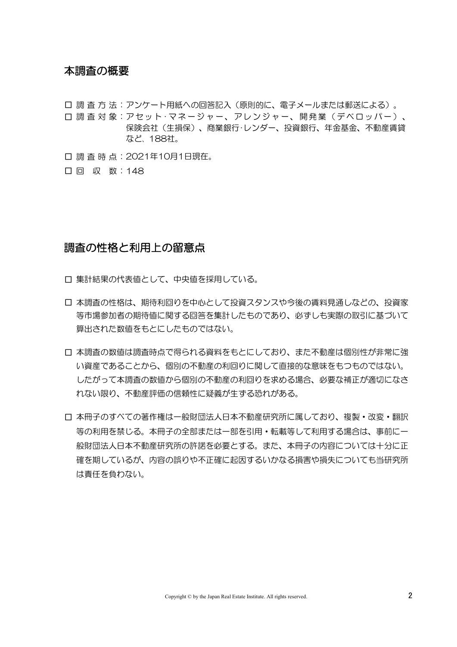#### 本調査の概要

- □ 調 査 方 法:アンケート用紙への回答記入(原則的に、電子メールまたは郵送による)。
- 口 調 査 対 象:アセット · マネージャー、アレンジャー、開発業(デベロッパー)、 保険会社(生損保)、商業銀行・レンダー、投資銀行、年金基金、不動産賃貸 など、 188社。
- □ 調 査 時 点: 2021年10月1日現在。
- □ 回 収 数:148

#### 調査の性格と利用上の留意点

- □ 集計結果の代表値として、中央値を採用している。
- □ 本調査の性格は、期待利回りを中心として投資スタンスや今後の賃料見通しなどの、投資家 等市場参加者の期待値に関する回答を集計したものであり、必ずしも実際の取引に基づいて 算出された数値をもとにしたものではない。
- □ 本調査の数値は調査時点で得られる資料をもとにしており、また不動産は個別性が非常に強 い資産であることから、個別の不動産の利回りに関して直接的な意味をもつものではない。 したがって本調査の数値から個別の不動産の利回りを求める場合、必要な補正が適切になさ れない限り、不動産評価の信頼性に疑義が生ずる恐れがある。
- □ 本冊子のすべての著作権は一般財団法人日本不動産研究所に属しており、複製・改変・翻訳 等の利用を禁じる。本冊子の全部または一部を引用・転載等して利用する場合は、事前に一 般財団法人日本不動産研究所の許諾を必要とする。また、本冊子の内容については十分に正 確を期しているが、内容の誤りや不正確に起因するいかなる損害や損失についても当研究所 は責任を負わない。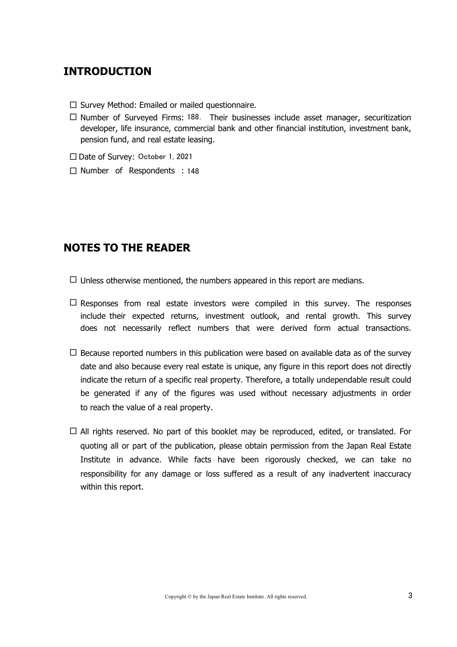## **INTRODUCTION**

- $\square$  Survey Method: Emailed or mailed questionnaire.
- □ Number of Surveyed Firms: 188. Their businesses include asset manager, securitization pension fund, and real estate leasing. developer, life insurance, commercial bank and other financial institution, investment bank,
- □ Date of Survey: October 1, 2021
- □ Number of Respondents : 148

# **NOTES TO THE READER**

- $\Box$  Unless otherwise mentioned, the numbers appeared in this report are medians.
- $\square$  Responses from real estate investors were compiled in this survey. The responses include their expected returns, investment outlook, and rental growth. This survey does not necessarily reflect numbers that were derived form actual transactions.
- $\Box$  Because reported numbers in this publication were based on available data as of the survey to reach the value of a real property. date and also because every real estate is unique, any figure in this report does not directly indicate the return of a specific real property. Therefore, a totally undependable result could be generated if any of the figures was used without necessary adjustments in order
- □ All rights reserved. No part of this booklet may be reproduced, edited, or translated. For within this report. quoting all or part of the publication, please obtain permission from the Japan Real Estate Institute in advance. While facts have been rigorously checked, we can take no responsibility for any damage or loss suffered as a result of any inadvertent inaccuracy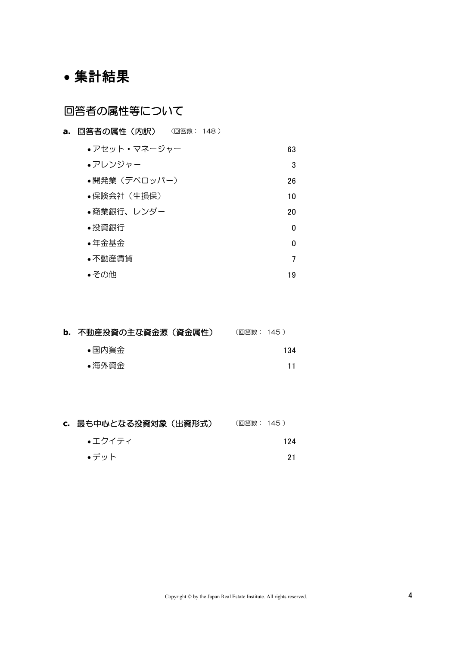# 集計結果

# 回答者の属性等について

**a.** 回答者の属性 (内訳) (回答数: 148) 63 3 26 10 20 0 0 7 19 その他 投資銀行 年金基金 ●不動産賃貸 ●開発業(デベロッパー) 保険会社(生損保) 商業銀行、レンダー アセット・マネージャー アレンジャー

| b. 不動産投資の主な資金源 (資金属性) | (回答数: 145 ) |
|-----------------------|-------------|
| ●国内資金                 | 134         |
| ●海外資金                 |             |

| c. 最も中心となる投資対象(出資形式) | (回答数: 145 ) |
|----------------------|-------------|
| ●エクイティ               | 124         |
| ∙デット                 | 21          |
|                      |             |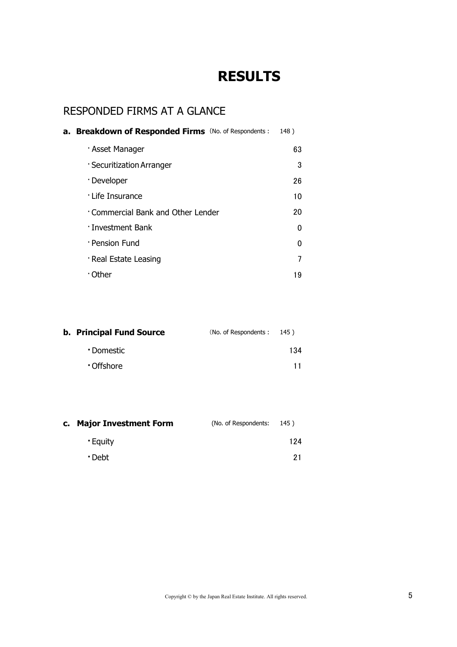# **RESULTS**

# RESPONDED FIRMS AT A GLANCE

| <b>a. Breakdown of Responded Firms</b> (No. of Respondents : | 148) |
|--------------------------------------------------------------|------|
| · Asset Manager                                              | 63   |
| · Securitization Arranger                                    | 3    |
| · Developer                                                  | 26   |
| · Life Insurance                                             | 10   |
| Commercial Bank and Other Lender                             | 20   |
| · Investment Bank                                            | O    |
| · Pension Fund                                               | O    |
| · Real Estate Leasing                                        |      |
| ∙ Other                                                      | 19   |

| <b>b. Principal Fund Source</b> | (No. of Respondents: 145) |     |  |
|---------------------------------|---------------------------|-----|--|
| • Domestic                      |                           | 134 |  |
| Offshore •                      |                           | 11  |  |

| <b>Major Investment Form</b><br>C. | (No. of Respondents: | 145) |
|------------------------------------|----------------------|------|
| • Equity                           |                      | 124  |
| • Debt                             |                      | 21   |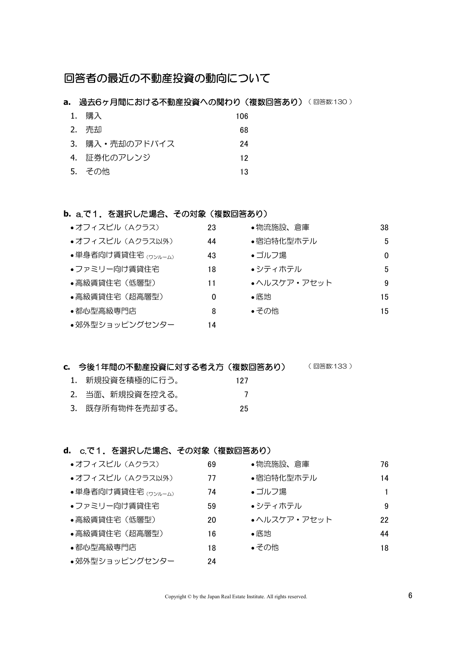## 回答者の最近の不動産投資の動向について

#### **a. 過去6ヶ月間における不動産投資への関わり(複数回答あり)**(回答数:130)

| 1. | 購入             | 106 |
|----|----------------|-----|
|    | 2. 売却          | 68  |
|    | 3. 購入・売却のアドバイス | 24  |
|    | 4. 証券化のアレンジ    | 12  |
|    | 5. その他         | 13  |

#### **b.** a.で1.を選択した場合、その対象(複数回答あり)

| • オフィスビル (Aクラス)    | 23 | ●物流施設、倉庫    | 38 |
|--------------------|----|-------------|----|
| • オフィスビル (Aクラス以外)  | 44 | ●宿泊特化型ホテル   | 5  |
| ●単身者向け賃貸住宅 (ワンルーム) | 43 | ●ゴルフ場       | 0  |
| ●ファミリー向け賃貸住宅       | 18 | ●シティホテル     | 5  |
| ●高級賃貸住宅(低層型)       | 11 | •ヘルスケア・アセット | 9  |
| •高級賃貸住宅(超高層型)      | 0  | ●底地         | 15 |
| ●都心型高級専門店          | 8  | ●その他        | 15 |
| ●郊外型ショッピングセンター     | 14 |             |    |

#### **c.** 今後1年間の不動産投資に対する考え方(複数回答あり) ( 回答数:133 )

| 1. 新規投資を積極的に行う。 | 127 |
|-----------------|-----|
| 2. 当面、新規投資を控える。 |     |
| 3. 既存所有物件を売却する。 | 25  |

#### **d.** c.で1.を選択した場合、その対象(複数回答あり)

| ●オフィスビル (Aクラス)     | 69 | ●物流施設、倉庫    | 76 |
|--------------------|----|-------------|----|
| ●オフィスビル (Aクラス以外)   | 77 | ●宿泊特化型ホテル   | 14 |
| ●単身者向け賃貸住宅 (ワンルーム) | 74 | ●ゴルフ場       |    |
| •ファミリー向け賃貸住宅       | 59 | ●シティホテル     | 9  |
| ●高級賃貸住宅(低層型)       | 20 | •ヘルスケア・アセット | 22 |
| •高級賃貸住宅(超高層型)      | 16 | ●底地         | 44 |
| ●都心型高級専門店          | 18 | ●その他        | 18 |
| ●郊外型ショッピングセンター     | 24 |             |    |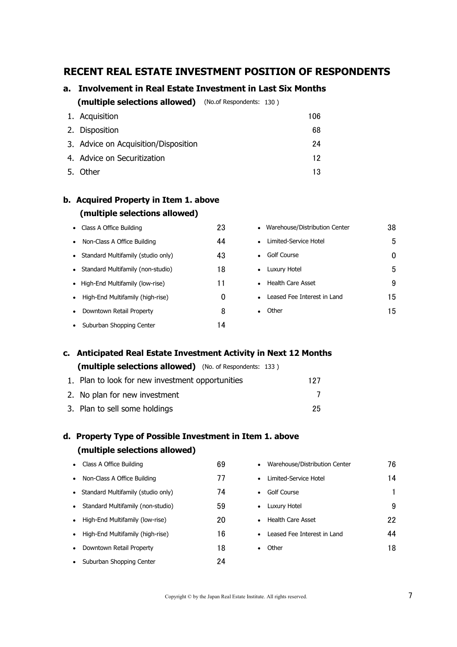#### **RECENT REAL ESTATE INVESTMENT POSITION OF RESPONDENTS**

#### **a. Involvement in Real Estate Investment in Last Six Months**

130 ) **(multiple selections allowed)** (No.of Respondents:

| 1. Acquisition                       | 106 |
|--------------------------------------|-----|
| 2. Disposition                       | 68  |
| 3. Advice on Acquisition/Disposition | 24  |
| 4. Advice on Securitization          | 12  |
| 5. Other                             | 13  |

# **b. Acquired Property in Item 1. above**

| (multiple selections allowed) |  |  |  |  |
|-------------------------------|--|--|--|--|
|-------------------------------|--|--|--|--|

| Class A Office Building<br>$\bullet$     | 23 | • Warehouse/Distribution Center          | 38  |
|------------------------------------------|----|------------------------------------------|-----|
| Non-Class A Office Building<br>$\bullet$ | 44 | Limited-Service Hotel<br>$\bullet$       | 5   |
| Standard Multifamily (studio only)       | 43 | Golf Course<br>$\bullet$                 | 0   |
| Standard Multifamily (non-studio)        | 18 | • Luxury Hotel                           | 5   |
| • High-End Multifamily (low-rise)        | 11 | • Health Care Asset                      | 9   |
| High-End Multifamily (high-rise)         | 0  | Leased Fee Interest in Land<br>$\bullet$ | 15  |
| Downtown Retail Property<br>$\bullet$    | 8  | Other<br>$\bullet$                       | 15. |
| Suburban Shopping Center                 | 14 |                                          |     |

#### **c. Anticipated Real Estate Investment Activity in Next 12 Months**

| (multiple selections allowed) (No. of Respondents: 133) |     |
|---------------------------------------------------------|-----|
| 1. Plan to look for new investment opportunities        | 127 |
| 2. No plan for new investment                           |     |

**d. Property Type of Possible Investment in Item 1. above**

3. Plan to sell some holdings 25

# • Class A Office Building **69** • Non-Class A Office Building 77 • Standard Multifamily (studio only) 74 • Standard Multifamily (non-studio) 59  $\bullet$  High-End Multifamily (low-rise) 20  $\bullet$  High-End Multifamily (high-rise)  $16$ • Downtown Retail Property **18** • Suburban Shopping Center 24 **(multiple selections allowed)**

| Warehouse/Distribution Center       | 76 |
|-------------------------------------|----|
| I imited-Service Hotel<br>$\bullet$ | 14 |
| Golf Course<br>$\bullet$            | 1  |
| Luxury Hotel<br>$\bullet$           | 9  |
| <b>Health Care Asset</b>            | 22 |
| Leased Fee Interest in Land         | 44 |
| Other                               | 18 |
|                                     |    |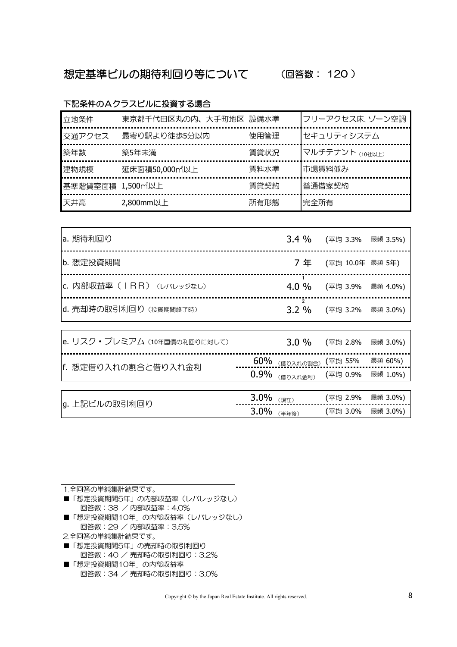# 想定基準ビルの期待利回り等について (回答数: 120 )

#### 下記条件のAクラスビルに投資する場合

| 立地条件             | 東京都千代田区丸の内、大手町地区 設備水準 |      | フリーアクセス床、ゾーン空調  |
|------------------|-----------------------|------|-----------------|
| 交通アクセス           | 最寄り駅より徒歩5分以内          | 使用管理 | セキュリティシステム      |
| 築年数              | 築5年未満                 | 賃貸状況 | マルチテナント (10社以上) |
| 建物規模             | 延床面積50,000m以上         | 賃料水準 | 市場賃料並み          |
| 基準階貸室面積 1,500m以上 |                       | 賃貸契約 | 普通借家契約          |
| 天井高              | 2,800mm以上             | 所有形態 | 完全所有            |

| a. 期待利回り                     | 3.4%                   | (平均 3.3%  最頻 3.5%) |          |
|------------------------------|------------------------|--------------------|----------|
| b. 想定投資期間                    | 7年                     | (平均 10.0年 最頻 5年)   |          |
| c. 内部収益率 (IRR) (レバレッジなし)     | 4.0%                   | (平均 3.9%           | 最頻 4.0%) |
| d. 売却時の取引利回り (投資期間終了時)       | $\overline{2}$<br>3.2% | (平均 3.2% 最頻 3.0%)  |          |
|                              |                        |                    |          |
| e. リスク・プレミアム (10年国債の利回りに対して) | 3.0%                   | (平均 2.8%           | 最頻 3.0%) |
|                              | 60%<br>(借り入れの割合)       | (平均 55%            | 最頻 60%)  |
| f. 想定借り入れの割合と借り入れ金利          | 0.9%<br>(借り入れ金利)       | (平均 0.9%           | 最頻 1.0%) |
|                              |                        |                    |          |
|                              |                        |                    |          |

| 류리 | 現在<br>Jiv  | 2.9% | $0\%$<br>最旗 |
|----|------------|------|-------------|
| lg | $11.5 - 4$ | 3.0% | .0%         |
|    | J.v        | ーニー  | 最媚          |

| 1.全回答の単純集計結果です。              |
|------------------------------|
| ■「想定投資期間5年」の内部収益率(レバレッジなし)   |
| 回答数:38 / 内部収益率:4.0%          |
| ■ 「相中也次期門」の生」の中如同分娩 (しびしゅぎた) |

- ■「想定投資期間10年」の内部収益率(レバレッジなし) 回答数:29 / 内部収益率:3.5%
- 2.全回答の単純集計結果です。
- ■「想定投資期間5年」の売却時の取引利回り 回答数:40 / 売却時の取引利回り:3.2%
- ■「想定投資期間10年」の内部収益率 回答数:34 / 売却時の取引利回り:3.0%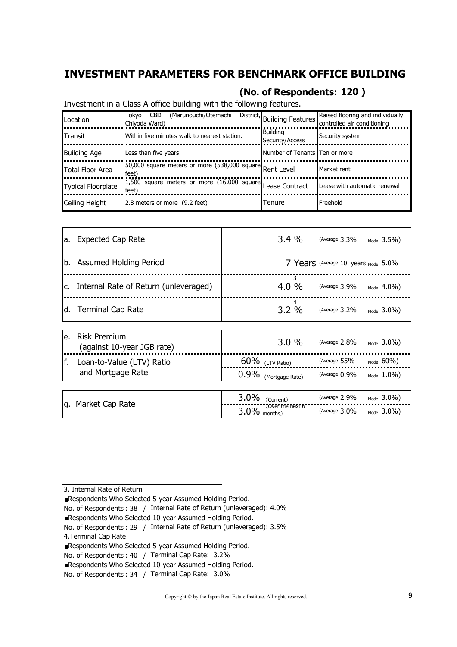## **INVESTMENT PARAMETERS FOR BENCHMARK OFFICE BUILDING**

#### **(No. of Respondents: 120 )**

Investment in a Class A office building with the following features.

| Location                  | (Marunouchi/Otemachi<br>Tokyo<br><b>CBD</b><br>Chiyoda Ward)       | District, Building Features I'     | Raised flooring and individually<br>controlled air conditioning |
|---------------------------|--------------------------------------------------------------------|------------------------------------|-----------------------------------------------------------------|
| Transit                   | Within five minutes walk to nearest station.                       | <b>Building</b><br>Security/Access | Security system                                                 |
| <b>Building Age</b>       | Less than five years                                               | Number of Tenants Ten or more      |                                                                 |
| Total Floor Area          | 150,000 square meters or more (538,000 square Rent Level<br>feet)  |                                    | Market rent                                                     |
| <b>Typical Floorplate</b> | 1,500 square meters or more (16,000 square Lease Contract<br>feet) |                                    | Lease with automatic renewal                                    |
| Ceiling Height            | 2.8 meters or more (9.2 feet)                                      | Tenure                             | Freehold                                                        |

| a. | <b>Expected Cap Rate</b>                          | 3.4%                 | (Average $3.3\%$ |                                                 | $_{Mode}$ 3.5%)        |
|----|---------------------------------------------------|----------------------|------------------|-------------------------------------------------|------------------------|
|    | b. Assumed Holding Period                         |                      |                  | 7 Years (Average 10. years <sub>Mode</sub> 5.0% |                        |
| c. | Internal Rate of Return (unleveraged)             | 3<br>4.0%            | (Average $3.9\%$ |                                                 | $_{\text{Mode}}$ 4.0%) |
| d. | <b>Terminal Cap Rate</b>                          | 4<br>3.2%            | (Average $3.2\%$ |                                                 | $_{\text{Mode}}$ 3.0%) |
| e. | <b>Risk Premium</b><br>(against 10-year JGB rate) | 3.0%                 | (Average $2.8\%$ |                                                 | Mode $3.0\%$ )         |
| f. | Loan-to-Value (LTV) Ratio                         | $60\%$ (LTV Ratio)   | (Average 55%     |                                                 | $_{\text{Mode}}$ 60%)  |
|    | and Mortgage Rate                                 | 0.9% (Mortgage Rate) | (Average $0.9\%$ |                                                 | $_{\text{Mode}}$ 1.0%) |
|    |                                                   |                      |                  |                                                 |                        |

| Market Cap Rate | 9%<br>Currenti<br>J.U                       | (Average 2.9%    | $3.0\%$<br>Mode |
|-----------------|---------------------------------------------|------------------|-----------------|
| g.              | Over the next 6.<br>$2\%$<br>months)<br>J.v | (Average $3.0\%$ | $3.0\%$<br>Mode |

- Respondents Who Selected 10-year Assumed Holding Period.
- No. of Respondents: 29 / Internal Rate of Return (unleveraged): 3.5%

<sup>3.</sup> Internal Rate of Return

Respondents Who Selected 5-year Assumed Holding Period.

No. of Respondents: 38 / Internal Rate of Return (unleveraged): 4.0%

<sup>4.</sup>Terminal Cap Rate

Respondents Who Selected 5-year Assumed Holding Period.

No. of Respondents : 40 / Terminal Cap Rate: 3.2%

Respondents Who Selected 10-year Assumed Holding Period.

No. of Respondents : 34 / Terminal Cap Rate: 3.0%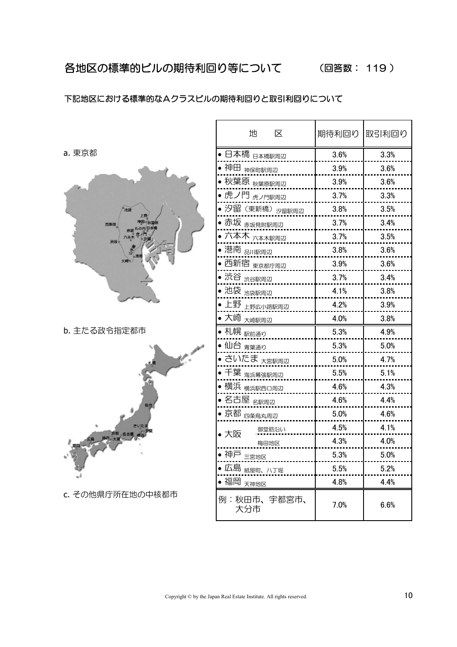#### 下記地区における標準的なAクラスビルの期待利回りと取引利回りについて

a. 東京都



b. 主たる政令指定都市



c. その他県庁所在地の中核都市

| 地<br>区                     | 期待利回り | 取引利回り |
|----------------------------|-------|-------|
| <br>日本橋 <sub>日本橋駅周辺</sub>  | 3.6%  | 3.3%  |
| 神田 神保町駅周辺                  | 3.9%  | 3.6%  |
| 秋葉原 <sub>秋葉原駅周辺</sub>      | 3.9%  | 3.6%  |
| -<br>虎ノ門 <sub>虎ノ門駅周辺</sub> | 3.7%  | 3.3%  |
| 汐留(東新橋) <sub>汐留駅周辺</sub>   | 3.8%  | 3.5%  |
| 赤坂 <sub>赤坂見附駅周辺</sub>      | 3.7%  | 3.4%  |
| ,<br>六本木 <sub>六本木駅周辺</sub> | 3.7%  | 3.5%  |
| 港南 品川駅周辺                   | 3.8%  | 3.6%  |
| 西新宿 <sub>東京都庁周辺</sub>      | 3.9%  | 3.6%  |
| 渋谷 <sub>渋谷駅周辺</sub>        | 3.7%  | 3.4%  |
| 池袋 <sub>池袋駅周辺</sub>        | 4.1%  | 3.8%  |
| 上野 <sub>上野広小路駅周辺</sub>     | 4.2%  | 3.9%  |
| 大崎 <sub>大崎駅周辺</sub>        | 4.0%  | 3.8%  |
| —<br>札幌 <sub>駅前通り</sub>    | 5.3%  | 4.9%  |
| 仙台 <sub>青葉通り</sub>         | 5.3%  | 5.0%  |
| さいたま <sub>大宮駅周辺</sub>      | 5.0%  | 4.7%  |
| 千葉 <sub>海浜幕張駅周辺</sub>      | 5.5%  | 5.1%  |
| 横浜 <sub>横浜駅西口周辺</sub>      | 4.6%  | 4.3%  |
| 名古屋 <sub>名駅周辺</sub>        | 4.6%  | 4.4%  |
| 京都 四条烏丸周辺                  | 5.0%  | 4.6%  |
| 御堂筋沿い<br>大阪                | 4.5%  | 4.1%  |
| 梅田地区                       | 4.3%  | 4.0%  |
| 神戸<br>三宮地区                 | 5.3%  | 5.0%  |
| 広島 <sub>紙屋町、八丁堀</sub>      | 5.5%  | 5.2%  |
| 福岡<br>天神地区                 | 4.8%  | 4.4%  |
| 宇都宮市、<br>例<br>秋田市、<br>大分市  | 7.0%  | 6.6%  |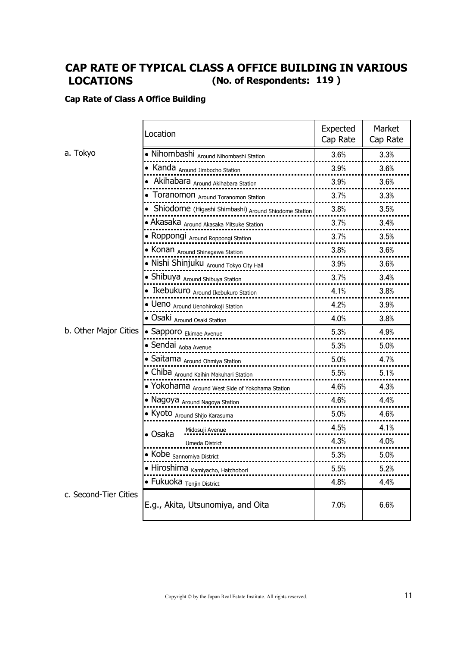## **LOCATIONS (No. of Respondents: 119 ) CAP RATE OF TYPICAL CLASS A OFFICE BUILDING IN VARIOUS**

#### **Cap Rate of Class A Office Building**

|                       | Location                                               | Expected<br>Cap Rate | Market<br>Cap Rate |
|-----------------------|--------------------------------------------------------|----------------------|--------------------|
| a. Tokyo              | • Nihombashi Around Nihombashi Station                 | 3.6%                 | 3.3%               |
|                       | • Kanda Around Jimbocho Station                        | 3.9%                 | 3.6%               |
|                       | • Akihabara Around Akihabara Station                   | 3.9%                 | 3.6%               |
|                       | • Toranomon Around Toranomon Station                   | 3.7%                 | 3.3%               |
|                       | • Shiodome (Higashi Shimbashi) Around Shiodome Station | 3.8%                 | 3.5%               |
|                       | • Akasaka Around Akasaka Mitsuke Station               | 3.7%                 | 3.4%               |
|                       | • Roppongi Around Roppongi Station                     | 3.7%                 | 3.5%               |
|                       | • Konan Around Shinagawa Station                       | 3.8%                 | 3.6%               |
|                       | • Nishi Shinjuku Around Tokyo City Hall                | 3.9%                 | 3.6%               |
|                       | • Shibuya Around Shibuya Station                       | 3.7%                 | 3.4%               |
|                       | • Ikebukuro Around Ikebukuro Station                   | 4.1%                 | 3.8%               |
|                       | · Ueno Around Uenohirokoji Station                     | 4.2%                 | 3.9%               |
|                       | • Osaki Around Osaki Station                           | 4.0%                 | 3.8%               |
| b. Other Major Cities | • Sapporo Ekimae Avenue                                | 5.3%                 | 4.9%               |
|                       | • Sendai <sub>Aoba Avenue</sub>                        | 5.3%                 | 5.0%               |
|                       | • Saitama Around Ohmiya Station                        | 5.0%                 | 4.7%               |
|                       | • Chiba Around Kaihin Makuhari Station                 | 5.5%                 | 5.1%               |
|                       | • Yokohama Around West Side of Yokohama Station        | 4.6%                 | 4.3%               |
|                       | • Nagoya Around Nagoya Station                         | 4.6%                 | 4.4%               |
|                       | • Kyoto Around Shijo Karasuma                          | 5.0%                 | 4.6%               |
|                       | Midosuji Avenue<br>• Osaka                             | 4.5%                 | 4.1%               |
|                       | Umeda District                                         | 4.3%                 | 4.0%               |
|                       | • Kobe <sub>Sannomiya</sub> District                   | 5.3%                 | 5.0%               |
|                       | · Hiroshima Kamiyacho, Hatchobori                      | 5.5%                 | 5.2%               |
|                       | • Fukuoka <sub>Tenjin</sub> District                   | 4.8%                 | 4.4%               |
| c. Second-Tier Cities | E.g., Akita, Utsunomiya, and Oita                      | 7.0%                 | 6.6%               |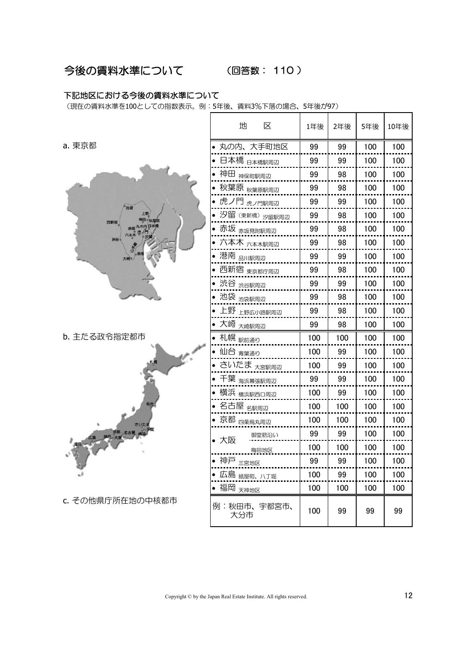#### 今後の賃料水準について (回答数: 110 )

#### 下記地区における今後の賃料水準について

(現在の賃料水準を100としての指数表示。例:5年後、賃料3%下落の場合、5年後が97)

|                       | 地<br>区                       | 1年後 | 2年後 | 5年後 | 10年後 |
|-----------------------|------------------------------|-----|-----|-----|------|
| a. 東京都                | ● 丸の内、大手町地区                  | 99  | 99  | 100 | 100  |
|                       | • 日本橋 <sub>日本橋駅周辺</sub>      | 99  | 99  | 100 | 100  |
|                       | ● 神田 <sub>神保町駅周辺</sub>       | 99  | 98  | 100 | 100  |
|                       | ● 秋葉原 <sub>秋葉原駅周辺</sub>      | 99  | 98  | 100 | 100  |
| 池袋                    | -<br>● 虎ノ門 <sub>虎ノ門駅周辺</sub> | 99  | 99  | 100 | 100  |
| 神田。秋葉醇<br>西新宿         | ● 汐留 (東新橋) 汐留駅周辺             | 99  | 98  | 100 | 100  |
| 赤坂丸の内日本橋<br>六本木       | ● 赤坂 <sub>赤坂見附駅周辺</sub>      | 99  | 98  | 100 | 100  |
| 渋谷。                   | ● 六本木 <sub>六本木駅周辺</sub>      | 99  | 98  | 100 | 100  |
| 大崎。                   | ● 港南 <sub>品川駅周辺</sub>        | 99  | 99  | 100 | 100  |
|                       | • 西新宿 <sub>東京都庁周辺</sub>      | 99  | 98  | 100 | 100  |
|                       | ● 渋谷 <sub>渋谷駅周辺</sub>        | 99  | 99  | 100 | 100  |
|                       | ● 池袋 <sub>池袋駅周辺</sub>        | 99  | 98  | 100 | 100  |
|                       | ● 上野 <sub>上野広小路駅周辺</sub>     | 99  | 98  | 100 | 100  |
|                       | ● 大崎 <sub>大崎駅周辺</sub>        | 99  | 98  | 100 | 100  |
| b. 主たる政令指定都市          | ● 札幌 <sub>駅前通り</sub>         | 100 | 100 | 100 | 100  |
|                       | ● 仙台 <sub>青葉通り</sub>         | 100 | 99  | 100 | 100  |
|                       | • さいたま <sub>大宮駅周辺</sub>      | 100 | 99  | 100 | 100  |
|                       | ● 千葉 <sub>海浜幕張駅周辺</sub>      | 99  | 99  | 100 | 100  |
|                       | ● 横浜 <sub>横浜駅西口周辺</sub>      | 100 | 99  | 100 | 100  |
| 仙台                    | • 名古屋 <sub>名駅周辺</sub>        | 100 | 100 | 100 | 100  |
| さいたま                  | ● 京都 <sub>四条烏丸周辺</sub>       | 100 | 100 | 100 | 100  |
| <b>相同 一个 神戸大蔵 名古屋</b> | 御堂筋沿い<br>• 大阪                | 99  | 99  | 100 | 100  |
|                       | 梅田地区                         | 100 | 100 | 100 | 100  |
|                       | • 神戸 $\equiv$ $\frac{1}{2}$  | 99  | 99  | 100 | 100  |
|                       | ● 広島 <sub>紙屋町、八丁堀</sub>      | 100 | 99  | 100 | 100  |
|                       | • 福岡 <sub>天神地区</sub>         | 100 | 100 | 100 | 100  |
| c. その他県庁所在地の中核都市      | 例:秋田市、宇都宮市、<br>大分市           | 100 | 99  | 99  | 99   |

 $\overline{\phantom{a}}$ 

 $\mathsf{T}$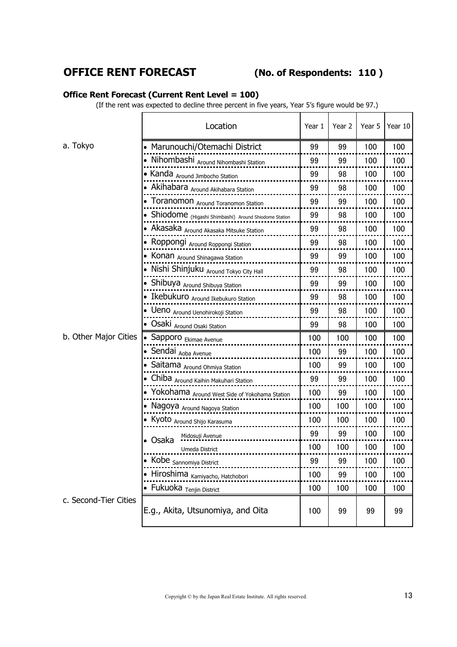## **OFFICE RENT FORECAST (No. of Respondents:**

#### **110 )**

#### **Office Rent Forecast (Current Rent Level = 100)**

(If the rent was expected to decline three percent in five years, Year 5's figure would be 97.)

|                       | Location                                               | Year 1 | Year 2 | Year 5 | Year 10 |
|-----------------------|--------------------------------------------------------|--------|--------|--------|---------|
| a. Tokyo              | • Marunouchi/Otemachi District                         | 99     | 99     | 100    | 100     |
|                       | • Nihombashi Around Nihombashi Station                 | 99     | 99     | 100    | 100     |
|                       | • Kanda Around Jimbocho Station                        | 99     | 98     | 100    | 100     |
|                       | • Akihabara Around Akihabara Station                   | 99     | 98     | 100    | 100     |
|                       | • Toranomon Around Toranomon Station                   | 99     | 99     | 100    | 100     |
|                       | • Shiodome (Higashi Shimbashi) Around Shiodome Station | 99     | 98     | 100    | 100     |
|                       | • Akasaka Around Akasaka Mitsuke Station               | 99     | 98     | 100    | 100     |
|                       | • Roppongi Around Roppongi Station                     | 99     | 98     | 100    | 100     |
|                       | • Konan Around Shinagawa Station                       | 99     | 99     | 100    | 100     |
|                       | • Nishi Shinjuku Around Tokyo City Hall                | 99     | 98     | 100    | 100     |
|                       | • Shibuya Around Shibuya Station                       | 99     | 99     | 100    | 100     |
|                       | • Ikebukuro Around Ikebukuro Station                   | 99     | 98     | 100    | 100     |
|                       | · Ueno Around Uenohirokoji Station                     | 99     | 98     | 100    | 100     |
|                       | • Osaki Around Osaki Station                           | 99     | 98     | 100    | 100     |
| b. Other Major Cities | • Sapporo Ekimae Avenue                                | 100    | 100    | 100    | 100     |
|                       | • Sendai Aoba Avenue                                   | 100    | 99     | 100    | 100     |
|                       | • Saitama Around Ohmiya Station                        | 100    | 99     | 100    | 100     |
|                       | • Chiba Around Kaihin Makuhari Station                 | 99     | 99     | 100    | 100     |
|                       | • Yokohama Around West Side of Yokohama Station        | 100    | 99     | 100    | 100     |
|                       | • Nagoya <sub>Around</sub> Nagoya Station              | 100    | 100    | 100    | 100     |
|                       | • Kyoto Around Shijo Karasuma                          | 100    | 100    | 100    | 100     |
|                       | Midosuji Avenue<br>• Osaka                             | 99     | 99     | 100    | 100     |
|                       | Umeda District                                         | 100    | 100    | 100    | 100     |
|                       | Kobe Sannomiya District                                | 99     | 99     | 100    | 100     |
|                       | • Hiroshima <sub>Kamiyacho, Hatchobori</sub>           | 100    | 99     | 100    | 100     |
|                       | • Fukuoka <sub>Tenjin</sub> District                   | 100    | 100    | 100    | 100     |
| c. Second-Tier Cities | E.g., Akita, Utsunomiya, and Oita                      | 100    | 99     | 99     | 99      |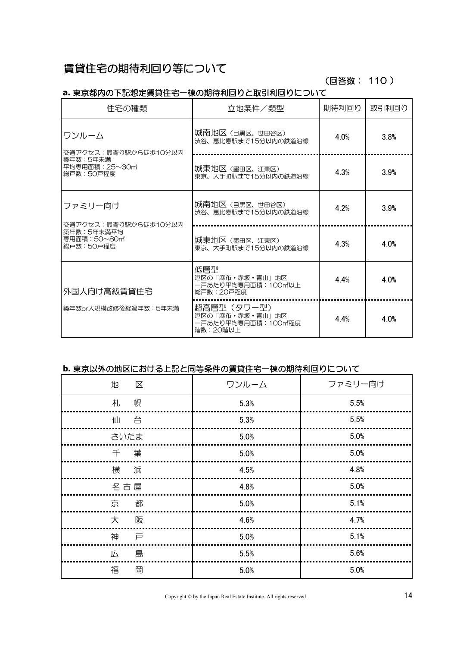# 賃貸住宅の期待利回り等について

#### (回答数: 110 )

#### **a.** 東京都内の下記想定賃貸住宅一棟の期待利回りと取引利回りについて

| 住宅の種類                                    | 立地条件/類型                                                                        | 期待利回り | 取引利回り |
|------------------------------------------|--------------------------------------------------------------------------------|-------|-------|
| ワンルーム<br>交通アクセス: 最寄り駅から徒歩10分以内           | 城南地区(目黒区、世田谷区)<br>渋谷、恵比寿駅まで15分以内の鉄道沿線                                          | 4.0%  | 3.8%  |
| 築年数:5年未満<br>平均専用面積: 25~30m<br> 総戸数:50戸程度 | 城東地区(墨田区、江東区)<br>東京、大手町駅まで15分以内の鉄道沿線                                           | 4.3%  | 3.9%  |
| ファミリー向け<br>交通アクセス:最寄り駅から徒歩10分以内          | 城南地区 (目黒区、世田谷区)<br>渋谷、恵比寿駅まで15分以内の鉄道沿線                                         | 4.2%  | 3.9%  |
| 築年数:5年未満平均<br>専用面積: 50~80m<br>総戸数:50戸程度  | 城東地区(墨田区、江東区)<br>東京、大手町駅まで15分以内の鉄道沿線                                           | 4.3%  | 4.0%  |
| 外国人向け高級賃貸住宅                              | 低層型<br>港区の「麻布・赤坂・青山」地区<br>ー戸あたり平均専用面積: 100m2以上<br>総戸数:20戸程度                    | 44%   | 4.0%  |
| 築年数or大規模改修後経過年数:5年未満                     | 超高層型(タワー型)<br>港区の「麻布・赤坂・青山」地区<br>一戸あたり平均専用面積:100m <sup>*</sup> 程度<br>階数: 20階以上 | 4.4%  | 4.0%  |

#### **b.** 東京以外の地区における上記と同等条件の賃貸住宅一棟の期待利回りについて

| 地<br>区 | ワンルーム   | ファミリー向け |
|--------|---------|---------|
| 幌<br>札 | 5.3%    | 5.5%    |
| 仙<br>台 | 5.3%    | 5.5%    |
| さいたま   | 5.0%    | 5.0%    |
| 千葉     | 5.0%    | $5.0\%$ |
| 横 浜    | 4.5%    | 4.8%    |
| 名古屋    | 4.8%    | 5.0%    |
| 京<br>都 | 5.0%    | 5.1%    |
| 大<br>阪 | 4.6%    | 4.7%    |
| 神<br>戸 | $5.0\%$ | 5.1%    |
| 島<br>広 | 5.5%    | 5.6%    |
| 福<br>岡 | 5.0%    | 5.0%    |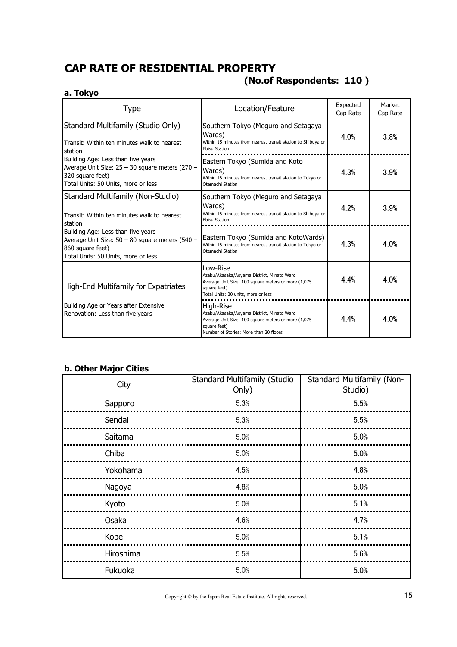# **CAP RATE OF RESIDENTIAL PROPERTY**

#### **a. Tokyo**

# **(No.of Respondents: 110 )**

| <b>Type</b>                                                                                                                                      | Location/Feature                                                                                                                                                         | Expected<br>Cap Rate | Market<br>Cap Rate |
|--------------------------------------------------------------------------------------------------------------------------------------------------|--------------------------------------------------------------------------------------------------------------------------------------------------------------------------|----------------------|--------------------|
| Standard Multifamily (Studio Only)<br>Transit: Within ten minutes walk to nearest<br>station                                                     | Southern Tokyo (Meguro and Setagaya<br>Wards)<br>Within 15 minutes from nearest transit station to Shibuya or<br><b>Ebisu Station</b>                                    | 4.0%                 | 3.8%               |
| Building Age: Less than five years<br>Average Unit Size: 25 - 30 square meters (270 -<br>320 square feet)<br>Total Units: 50 Units, more or less | Eastern Tokyo (Sumida and Koto<br>Wards)<br>Within 15 minutes from nearest transit station to Tokyo or<br>Otemachi Station                                               | 4.3%                 | 3.9%               |
| Standard Multifamily (Non-Studio)<br>Transit: Within ten minutes walk to nearest<br>station                                                      | Southern Tokyo (Meguro and Setagaya<br>Wards)<br>Within 15 minutes from nearest transit station to Shibuya or<br><b>Ebisu Station</b>                                    | 4 2%                 | 3.9%               |
| Building Age: Less than five years<br>Average Unit Size: 50 - 80 square meters (540 -<br>860 square feet)<br>Total Units: 50 Units, more or less | Eastern Tokyo (Sumida and KotoWards)<br>Within 15 minutes from nearest transit station to Tokyo or<br>Otemachi Station                                                   | 4.3%                 | 4.0%               |
| <b>High-End Multifamily for Expatriates</b>                                                                                                      | Low-Rise<br>Azabu/Akasaka/Aoyama District, Minato Ward<br>Average Unit Size: 100 square meters or more (1,075<br>square feet)<br>Total Units: 20 units, more or less     | 44%                  | 4.0%               |
| Building Age or Years after Extensive<br>Renovation: Less than five years                                                                        | High-Rise<br>Azabu/Akasaka/Aoyama District, Minato Ward<br>Average Unit Size: 100 square meters or more (1,075<br>square feet)<br>Number of Stories: More than 20 floors | 4.4%                 | 4.0%               |

#### **b. Other Major Cities**

| City      | <b>Standard Multifamily (Studio</b><br>Only) | <b>Standard Multifamily (Non-</b><br>Studio) |
|-----------|----------------------------------------------|----------------------------------------------|
| Sapporo   | 5.3%                                         | 5.5%                                         |
| Sendai    | 5.3%                                         | 5.5%                                         |
| Saitama   | 5.0%                                         | 5.0%                                         |
| Chiba     | 5.0%                                         | 5.0%                                         |
| Yokohama  | 4.5%                                         | 4.8%                                         |
| Nagoya    | 4.8%                                         | 5.0%                                         |
| Kyoto     | 5.0%                                         | 5.1%                                         |
| Osaka     | 4.6%                                         | 4.7%                                         |
| Kobe      | 5.0%                                         | 5.1%                                         |
| Hiroshima | 5.5%                                         | 5.6%                                         |
| Fukuoka   | 5.0%                                         | 5.0%                                         |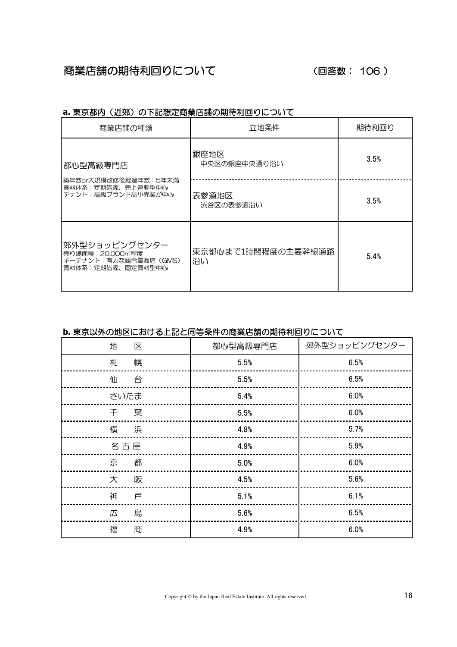#### (回答数: 106 )

| 商業店舗の種類                                                                       | 立地条件                     | 期待利回り |
|-------------------------------------------------------------------------------|--------------------------|-------|
| 都心型高級専門店                                                                      | 銀座地区<br>中央区の銀座中央通り沿い     | 3.5%  |
| 築年数or大規模改修後経過年数:5年未満<br>賃料体系:定期借家、売上連動型中心<br>テナント:高級ブランド品小売業が中心               | 表参道地区<br>渋谷区の表参道沿い       | 3.5%  |
| 郊外型ショッピングセンター<br>売り場面積:20,000㎡程度<br>キーテナント:有力な総合量販店(GMS)<br>賃料体系:定期借家、固定賃料型中心 | 東京都心まで1時間程度の主要幹線道路<br>沿い | 5.4%  |

#### a. 東京都内(近郊)の下記想定商業店舗の期待利回りについて

#### **b.** 東京以外の地区における上記と同等条件の商業店舗の期待利回りについて

| 地<br>区 | 都心型高級専門店 | 郊外型ショッピングセンター |
|--------|----------|---------------|
| 幌<br>札 | 5.5%     | 6.5%          |
| 仙<br>台 | 5.5%     | 6.5%          |
| さいたま   | 5.4%     | 6.0%          |
| 葉<br>千 | 5.5%     | 6.0%          |
| 横<br>浜 | 4.8%     | 5.7%          |
| 名古屋    | 4.9%     | 5.9%          |
| 京<br>都 | 5.0%     | 6.0%          |
| 大<br>阪 | 4.5%     | 5.6%          |
| 神<br>戸 | 5.1%     | 6.1%          |
| 広<br>島 | 5.6%     | 6.5%          |
| 福<br>岡 | 4.9%     | 6.0%          |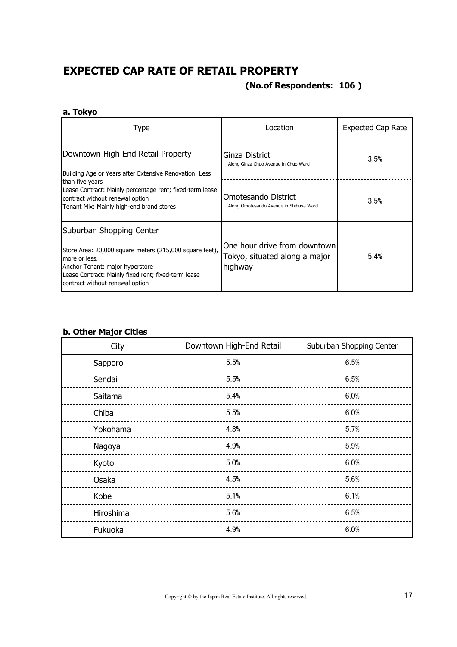# **EXPECTED CAP RATE OF RETAIL PROPERTY**

#### **(No.of Respondents: 106 )**

#### **a. Tokyo**

| Type                                                                                                                                                                                                                              | Location                                                                 | <b>Expected Cap Rate</b> |
|-----------------------------------------------------------------------------------------------------------------------------------------------------------------------------------------------------------------------------------|--------------------------------------------------------------------------|--------------------------|
| Downtown High-End Retail Property<br>Building Age or Years after Extensive Renovation: Less                                                                                                                                       | Ginza District<br>Along Ginza Chuo Avenue in Chuo Ward                   | 3.5%                     |
| than five years<br>Lease Contract: Mainly percentage rent; fixed-term lease<br>contract without renewal option<br>Tenant Mix: Mainly high-end brand stores                                                                        | Omotesando District<br>Along Omotesando Avenue in Shibuya Ward           | 3.5%                     |
| Suburban Shopping Center<br>Store Area: 20,000 square meters (215,000 square feet),<br>more or less.<br>Anchor Tenant: major hyperstore<br>Lease Contract: Mainly fixed rent; fixed-term lease<br>contract without renewal option | One hour drive from downtown<br>Tokyo, situated along a major<br>highway | 5.4%                     |

#### **b. Other Major Cities**

| City      | Downtown High-End Retail | Suburban Shopping Center |
|-----------|--------------------------|--------------------------|
| Sapporo   | 5.5%                     | 6.5%                     |
| Sendai    | 5.5%                     | 6.5%                     |
| Saitama   | 5.4%                     | 6.0%                     |
| Chiba     | 5.5%                     | 6.0%                     |
| Yokohama  | 4.8%                     | 5.7%                     |
| Nagoya    | 4.9%                     | 5.9%                     |
| Kyoto     | 5.0%                     | 6.0%                     |
| Osaka     | 4.5%                     | 5.6%                     |
| Kobe      | 5.1%                     | 6.1%                     |
| Hiroshima | 5.6%                     | 6.5%                     |
| Fukuoka   | 4.9%                     | 6.0%                     |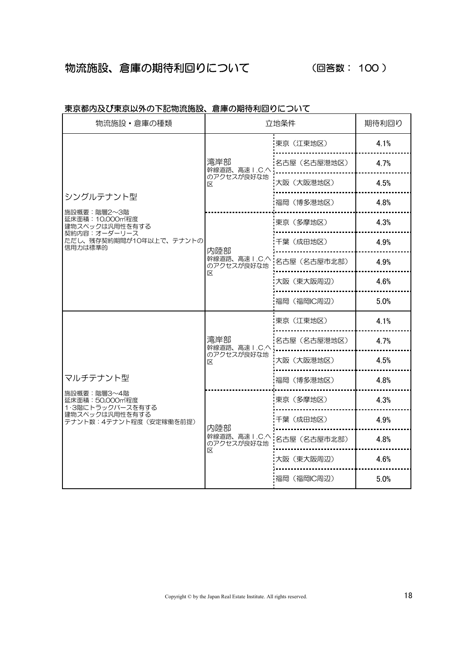# 物流施設、倉庫の期待利回りについて (回答数: 100 )

| 物流施設·倉庫の種類                                         |                                                                              | 立地条件         | 期待利回り                                        |  |  |
|----------------------------------------------------|------------------------------------------------------------------------------|--------------|----------------------------------------------|--|--|
|                                                    |                                                                              | 東京(江東地区)     | 4.1%                                         |  |  |
|                                                    | 湾岸部<br>幹線道路、高速 I.C.へ<br>のアクセスが良好な地<br>区                                      | 名古屋 (名古屋港地区) | 4.7%                                         |  |  |
|                                                    |                                                                              | 大阪 (大阪港地区)   | 4.5%                                         |  |  |
| シングルテナント型<br>施設概要:階層2~3階                           |                                                                              | 福岡 (博多港地区)   | 4.8%                                         |  |  |
| 延床面積:10,000㎡程度<br>建物スペックは汎用性を有する                   |                                                                              | 東京 (多摩地区)    | 4.3%                                         |  |  |
| 契約内容:オーダーリース<br>ただし、残存契約期間が10年以上で、テナントの<br>信用力は標準的 | 内陸部                                                                          | 千葉(成田地区)     | 4.9%                                         |  |  |
|                                                    | 幹線道路、高速 I.C.へ<br>名古屋(名古屋市北部)<br>のアクセスが良好な地<br>区<br>大阪 (東大阪周辺)<br>福岡 (福岡IC周辺) |              | 4.9%                                         |  |  |
|                                                    |                                                                              |              | 4.6%                                         |  |  |
|                                                    |                                                                              |              | 5.0%                                         |  |  |
|                                                    |                                                                              | 東京(江東地区)     | 4.1%                                         |  |  |
|                                                    | 湾岸部<br>幹線道路、高速 I.C.へ                                                         | 名古屋(名古屋港地区)  | 4.7%                                         |  |  |
|                                                    | のアクセスが良好な地<br>大阪(大阪港地区)<br>区                                                 |              | 4.5%                                         |  |  |
| マルチテナント型                                           |                                                                              | 福岡(博多港地区)    | 4.8%<br>4.3%<br>4.9%<br>4.8%<br>4.6%<br>5.0% |  |  |
| 施設概要:階層3~4階<br>延床面積: 50,000m程度<br>1.3階にトラックバースを有する |                                                                              | 東京 (多摩地区)    |                                              |  |  |
| 建物スペックは汎用性を有する<br>テナント数:4テナント程度(安定稼働を前提)           | 内陸部                                                                          | 千葉(成田地区)     |                                              |  |  |
|                                                    | 幹線道路、高速 I.C.へ<br>のアクセスが良好な地                                                  | 名古屋(名古屋市北部)  |                                              |  |  |
|                                                    | 区                                                                            | 大阪(東大阪周辺)    |                                              |  |  |
|                                                    |                                                                              | 福岡 (福岡IC周辺)  |                                              |  |  |

#### 東京都内及び東京以外の下記物流施設、倉庫の期待利回りについて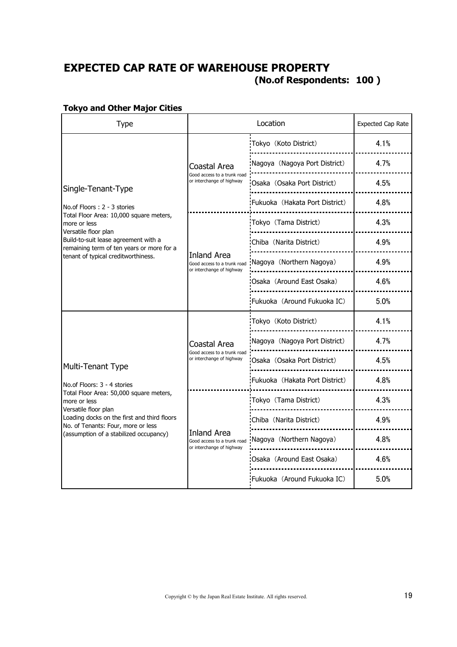# **100 ) (No.of Respondents: EXPECTED CAP RATE OF WAREHOUSE PROPERTY**

#### Type and the Location Control Expected Cap Rate Location Tokyo(Koto District) 4.1% -----------------------Nagoya(Nagoya Port District) 4.7% Coastal Area --------------------------------Good access to a trunk road or interchange of highway Osaka (Osaka Port District) | 4.5% Single-Tenant-Type .......................... Fukuoka(Hakata Port District) 4.8% No.of Floors : 2 - 3 stories . . . . . . . . . . . . . . . . . . . Total Floor Area: 10,000 square meters, Tokyo(Tama District) 4.3% more or less Versatile floor plan Build-to-suit lease agreement with a Chiba(Narita District) 4.9% remaining term of ten years or more for a Inland Area tenant of typical creditworthiness. Nagoya (Northern Nagoya) 4.9% Good access to a trunk road or interchange of highway . . . . . . . . . . . . . . . . . . . Osaka (Around East Osaka) 4.6% .<br>............................... Fukuoka (Around Fukuoka IC) 5.0% Tokyo(Koto District) 4.1% Nagoya (Nagoya Port District) 4.7% Coastal Area Good access to a trunk road or interchange of highway Osaka(Osaka Port District) 4.5% Multi-Tenant Type Fukuoka(Hakata Port District) 4.8% No.of Floors: 3 - 4 stories Total Floor Area: 50,000 square meters, Tokyo(Tama District) 4.3% more or less Versatile floor plan i<sub>------------------------</sub>-Loading docks on the first and third floors Chiba (Narita District) 4.9% No. of Tenants: Four, more or less !.......................... (assumption of a stabilized occupancy) Inland Area Nagoya (Northern Nagoya) | 4.8% Good access to a trunk road or interchange of highway . . . . . . . . . . . . . . . . . . . Osaka (Around East Osaka) | 4.6% Fukuoka (Around Fukuoka IC) 5.0%

#### **Tokyo and Other Major Cities**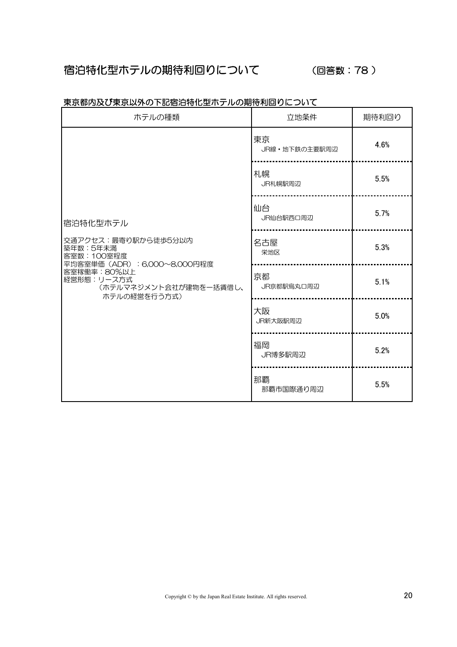# 宿泊特化型ホテルの期待利回りについて

#### (回答数: 78)

| ホテルの種類                                                                        | 立地条件                | 期待利回り |  |
|-------------------------------------------------------------------------------|---------------------|-------|--|
|                                                                               | 東京<br>JR線·地下鉄の主要駅周辺 | 4.6%  |  |
|                                                                               | 札幌<br>JR札幌駅周辺       | 5.5%  |  |
| 宿泊特化型ホテル                                                                      | 仙台<br>JR仙台駅西口周辺     | 5.7%  |  |
| 交通アクセス:最寄り駅から徒歩5分以内<br>築年数:5年未満<br>客室数:100室程度<br>平均客室単価 (ADR): 6,000~8,000円程度 | 名古屋<br>栄地区          | 5.3%  |  |
| 客室稼働率:80%以上<br>経営形態:リース方式<br>(ホテルマネジメント会社が建物を一括賃借し、<br>ホテルの経営を行う方式)           | 京都<br>JR京都駅烏丸口周辺    | 5.1%  |  |
|                                                                               | 大阪<br>JR新大阪駅周辺      | 5.0%  |  |
|                                                                               | 福岡<br>JR博多駅周辺       | 5.2%  |  |
|                                                                               | 那覇<br>那覇市国際通り周辺     | 5.5%  |  |

#### 東京都内及び東京以外の下記宿泊特化型ホテルの期待利回りについて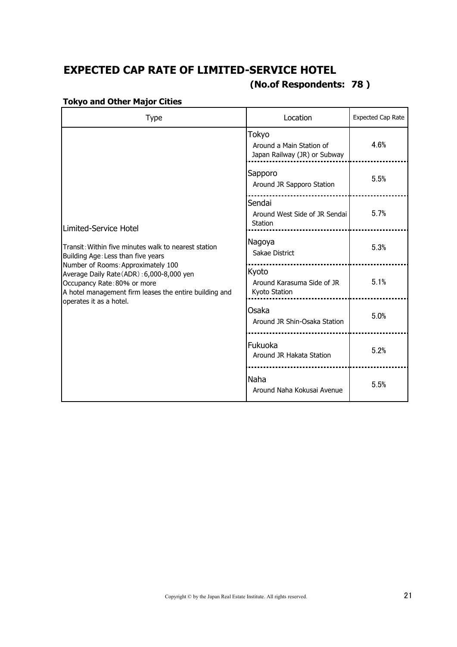# **(No.of Respondents: 78 ) EXPECTED CAP RATE OF LIMITED-SERVICE HOTEL**

| <b>Type</b>                                                                                                                                                              | Location                                                          | Expected Cap Rate |
|--------------------------------------------------------------------------------------------------------------------------------------------------------------------------|-------------------------------------------------------------------|-------------------|
|                                                                                                                                                                          | Tokyo<br>Around a Main Station of<br>Japan Railway (JR) or Subway | 4.6%              |
|                                                                                                                                                                          | Sapporo<br>Around JR Sapporo Station                              | 5.5%              |
| Limited-Service Hotel                                                                                                                                                    | Sendai<br>Around West Side of JR Sendai<br>Station                | 5.7%              |
| Transit: Within five minutes walk to nearest station<br>Building Age: Less than five years                                                                               | Nagoya<br>Sakae District                                          | 5.3%              |
| Number of Rooms: Approximately 100<br>Average Daily Rate (ADR): 6,000-8,000 yen<br>Occupancy Rate: 80% or more<br>A hotel management firm leases the entire building and | Kyoto<br>Around Karasuma Side of JR<br>Kyoto Station              | 5.1%              |
| operates it as a hotel.                                                                                                                                                  | Osaka<br>Around JR Shin-Osaka Station                             | 5.0%              |
|                                                                                                                                                                          | Fukuoka<br>Around JR Hakata Station                               | 5.2%              |
|                                                                                                                                                                          | Naha<br>Around Naha Kokusai Avenue                                | 5.5%              |

#### **Tokyo and Other Major Cities**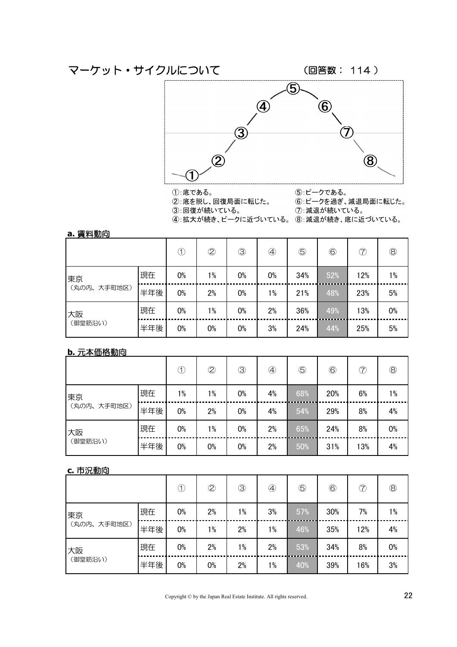

①:底である。

②:底を脱し、回復局面に転じた。

5: ピークである。 6:ピークを過ぎ、減退局面に転じた。

3:回復が続いている。

4:拡大が続き、ピークに近づいている。 8:減退が続き、底に近づいている。

7: 減退が続いている。

| a. 賃料動向     |     |       |             |             |    |             |                 |     |                |
|-------------|-----|-------|-------------|-------------|----|-------------|-----------------|-----|----------------|
|             |     | Œ     | $\circledS$ | $\circledS$ | ④  | $\circledS$ | $^{\copyright}$ | T   | $^{\circledR}$ |
| 東京          | 現在  | 0%    | $1\%$       | 0%          | 0% | 34%         | 52%             | 12% | $1\%$          |
| (丸の内、大手町地区) | 半年後 | 0%    | 2%          | $0\%$       | 1% | 21%         | 48%             | 23% | 5%             |
| 大阪          | 現在  | 0%    | $1\%$       | 0%          | 2% | 36%         | 49%             | 13% | 0%             |
| (御堂筋沿い)     | 半年後 | $0\%$ | 0%          | 0%          | 3% | 24%         | 44%             | 25% | 5%             |

#### **b.** 元本価格動向

|             |     | Œ     | $\circledZ$ | $\circledS$ | ④  | $\circledS$ | $\circledB$ | T   | $^\circledR$ |
|-------------|-----|-------|-------------|-------------|----|-------------|-------------|-----|--------------|
| 東京          | 現在  | $1\%$ | $1\%$       | 0%          | 4% | 68%         | 20%         | 6%  | $1\%$        |
| (丸の内、大手町地区) | 半年後 | $0\%$ | 2%          | 0%          | 4% | 54%         | 29%         | 8%  | 4%           |
| 大阪          | 現在  | 0%    | $1\%$       | 0%          | 2% | 65%         | 24%         | 8%  | 0%           |
| (御堂筋沿い)     | 半年後 | $0\%$ | 0%          | 0%          | 2% | 50%         | 31%         | 13% | 4%           |

#### **c.** 市況動向

|             |     | I     | $\circledS$ | $\circledS$ | $^{\small{\textcircled{\footnotesize{A}}}}$ | $\overline{\mathbb{S}}$ | $\circledS$ | T   | $^\circledR$ |
|-------------|-----|-------|-------------|-------------|---------------------------------------------|-------------------------|-------------|-----|--------------|
| 東京          | 現在  | 0%    | 2%          | $1\%$       | 3%                                          | 57%                     | 30%         | 7%  | $1\%$        |
| (丸の内、大手町地区) | 半年後 | $0\%$ | $1\%$       | 2%          | 1%                                          | 46%                     | 35%         | 12% | 4%           |
| 大阪          | 現在  | 0%    | 2%          | $1\%$       | 2%                                          | 53%                     | 34%         | 8%  | 0%           |
| (御堂筋沿い)     | 半年後 | 0%    | 0%          | 2%          | 1%                                          | 40%                     | 39%         | 16% | 3%           |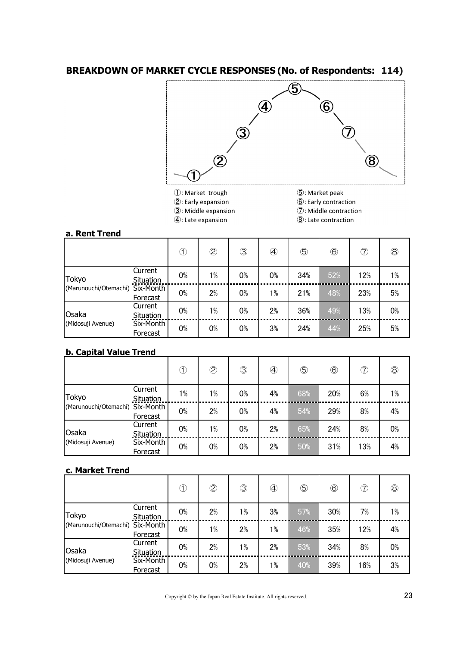#### **BREAKDOWN OF MARKET CYCLE RESPONSES (No. of Respondents: 114)**



- 1: Market trough 2: Early expansion
- 5: Market peak
- 6: Early contraction
- 7: Middle contraction
- 3: Middle expansion  $\textcircled{4}$ : Late expansion
- - 8: Late contraction

#### **a. Rent Trend**

|                       |                       | ⊕  | $\overline{\mathcal{Q}}$ | 3  | ④     | $\circledS$ | $^{\copyright}$ | T   | $^{\circledR}$ |
|-----------------------|-----------------------|----|--------------------------|----|-------|-------------|-----------------|-----|----------------|
| Tokyo                 | Current<br>Situation  | 0% | $1\%$                    | 0% | 0%    | 34%         | 52%             | 12% | $1\%$          |
| (Marunouchi/Otemachi) | Six-Month<br>Forecast | 0% | 2%                       | 0% | $1\%$ | 21%         | 48%             | 23% | 5%             |
| Osaka                 | Current<br>Situation  | 0% | $1\%$                    | 0% | 2%    | 36%         | 49%             | 13% | 0%             |
| (Midosuji Avenue)     | Six-Month<br>Forecast | 0% | 0%                       | 0% | 3%    | 24%         | 44%             | 25% | 5%             |

#### **b. Capital Value Trend**

|                                 |                       | ₵     | $\overline{2}$ | $\circledS$ | ④  | $\circledS$ | $^\copyright$ | T   | $^{\circledR}$ |
|---------------------------------|-----------------------|-------|----------------|-------------|----|-------------|---------------|-----|----------------|
| Tokyo                           | Current<br>Situation  | $1\%$ | $1\%$          | 0%          | 4% | 68%         | 20%           | 6%  | $1\%$          |
| (Marunouchi/Otemachi) Six-Month | Forecast              | 0%    | 2%             | 0%          | 4% | 54%         | 29%           | 8%  | 4%             |
| Osaka                           | Current<br>Situation  | 0%    | $1\%$          | 0%          | 2% | 65%         | 24%           | 8%  | 0%             |
| (Midosuji Avenue)               | Six-Month<br>Forecast | 0%    | 0%             | 0%          | 2% | 50%         | 31%           | 13% | 4%             |

#### **c. Market Trend**

|                       |                       | Œ  | $\overline{2}$ | $\circledS$ | ④     | $\circledS$ | $^{\circledR}$ | T   | $^\circledR$ |
|-----------------------|-----------------------|----|----------------|-------------|-------|-------------|----------------|-----|--------------|
| Tokyo                 | Current<br>Situation  | 0% | 2%             | 1%          | 3%    | 57%         | 30%            | 7%  | $1\%$        |
| (Marunouchi/Otemachi) | Six-Month<br>Forecast | 0% | $1\%$          | 2%          | $1\%$ | 46%         | 35%            | 12% | 4%           |
| Osaka                 | lCurrent<br>Situation | 0% | 2%             | $1\%$       | 2%    | 53%         | 34%            | 8%  | 0%           |
| (Midosuji Avenue)     | Six-Month<br>Forecast | 0% | 0%             | 2%          | $1\%$ | 40%         | 39%            | 16% | 3%           |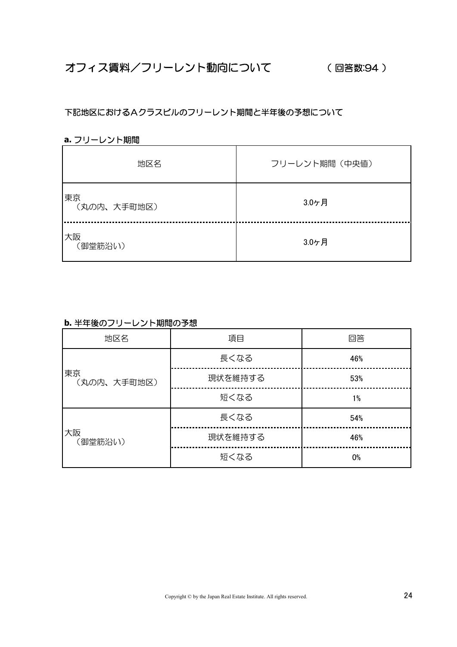#### 下記地区におけるAクラスビルのフリーレント期間と半年後の予想について

#### **a.** フリーレント期間

| 地区名               | フリーレント期間 (中央値) |
|-------------------|----------------|
| 東京<br>(丸の内、大手町地区) | 3.0ヶ月          |
| 大阪<br>(御堂筋沿い)     | 3.0ヶ月          |

#### **b.** 半年後のフリーレント期間の予想

| 地区名               | 項目      | 回答  |
|-------------------|---------|-----|
|                   | 長くなる    | 46% |
| 東京<br>(丸の内、大手町地区) | 現状を維持する | 53% |
|                   | 短くなる    | 1%  |
|                   | 長くなる    | 54% |
| 大阪<br>(御堂筋沿い)     | 現状を維持する | 46% |
|                   | 短くなる    | 0%  |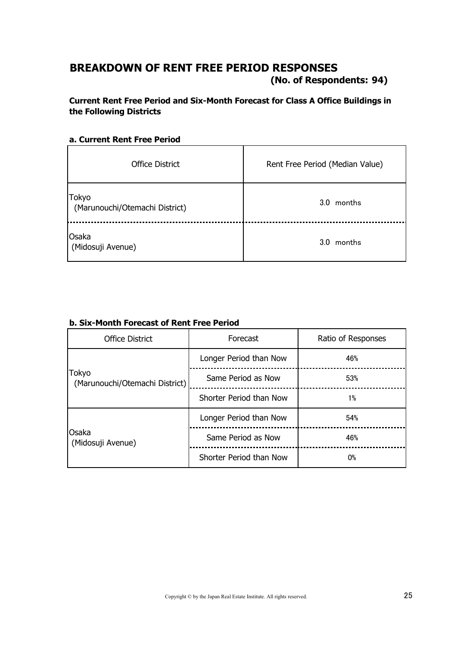## **BREAKDOWN OF RENT FREE PERIOD RESPONSES**

**94) (No. of Respondents:**

#### **Current Rent Free Period and Six-Month Forecast for Class A Office Buildings in the Following Districts**

#### **a. Current Rent Free Period**

| <b>Office District</b>                  | Rent Free Period (Median Value) |
|-----------------------------------------|---------------------------------|
| Tokyo<br>(Marunouchi/Otemachi District) | 3.0 months                      |
| Osaka<br>(Midosuji Avenue)              | 3.0 months                      |

| <b>Office District</b>                  | Forecast                | Ratio of Responses |
|-----------------------------------------|-------------------------|--------------------|
|                                         | Longer Period than Now  | 46%                |
| Tokyo<br>(Marunouchi/Otemachi District) | Same Period as Now      | 53%                |
|                                         | Shorter Period than Now | 1%                 |
|                                         | Longer Period than Now  | 54%                |
| Osaka<br>(Midosuji Avenue)              | Same Period as Now      | 46%                |
|                                         | Shorter Period than Now | <b>O%</b>          |

#### **b. Six-Month Forecast of Rent Free Period**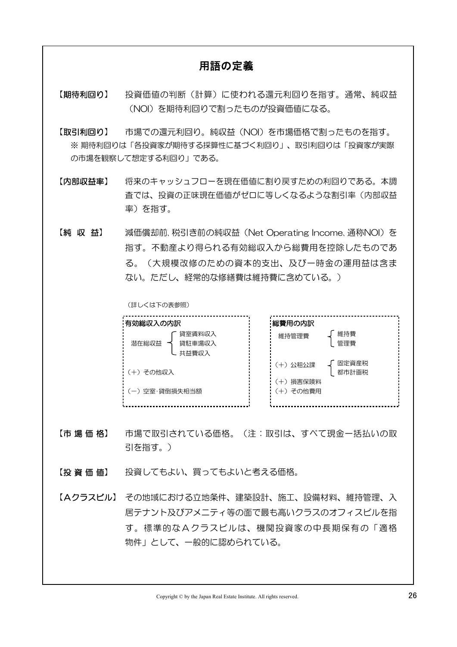#### 用語の定義

【期待利回り】 (NOI)を期待利回りで割ったものが投資価値になる。 投資価値の判断(計算)に使われる還元利回りを指す。通常、純収益

【取引利回り】 ※ 期待利回りは「各投資家が期待する採算性に基づく利回り」、取引利回りは「投資家が実際 の市場を観察して想定する利回り」である。 市場での還元利回り。純収益(NOI)を市場価格で割ったものを指す。

【内部収益率】 率)を指す。 将来のキャッシュフローを現在価値に割り戻すための利回りである。本調 査では、投資の正味現在価値がゼロに等しくなるような割引率(内部収益

【純 収 益】 ない。ただし、経常的な修繕費は維持費に含めている。) 減価償却前、税引き前の純収益 (Net Operating Income、通称NOI) を 指す。不動産より得られる有効総収入から総費用を控除したものであ る。(大規模改修のための資本的支出、及び一時金の運用益は含ま

(詳しくは下の表参照)

| : 有効総収入の内訳                         | :総費用の内訳                   |
|------------------------------------|---------------------------|
| 貸宰賃料収入<br>潜在総収益<br>貸駐車場収入<br>共益費収入 | 維持費<br>維持管理費<br>管理費       |
| : (+)その他収入                         | 固定資産税<br>(+)公租公課<br>都市計画税 |
| :(ー)空室·貸倒損失相当額                     | (+)損害保険料<br>(+)その他費用      |

- 【市 場 価 格】 引を指す。) 市場で取引されている価格。(注:取引は、すべて現金一括払いの取
- 【投 資 価 値】 投資してもよい、買ってもよいと考える価格。
- 【Aクラスビル】 その地域における立地条件、建築設計、施工、設備材料、維持管理、入 物件」として、一般的に認められている。 居テナント及びアメニティ等の面で最も高いクラスのオフィスビルを指 す。標準的なAクラスビルは、機関投資家の中長期保有の「適格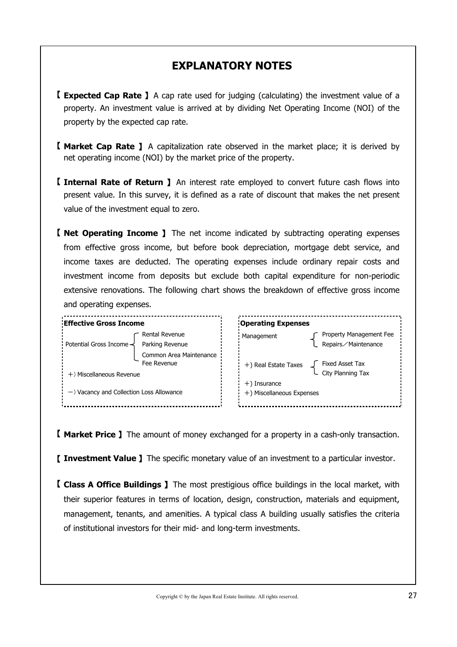# **EXPLANATORY NOTES**

- 【 **Expected Cap Rate** 】A cap rate used for judging (calculating) the investment value of a property by the expected cap rate. property. An investment value is arrived at by dividing Net Operating Income (NOI) of the
- 【 **Market Cap Rate** 】 A capitalization rate observed in the market place; it is derived by net operating income (NOI) by the market price of the property.
- 【 **Internal Rate of Return** 】 An interest rate employed to convert future cash flows into value of the investment equal to zero. present value. In this survey, it is defined as a rate of discount that makes the net present
- 【 **Net Operating Income** 】 The net income indicated by subtracting operating expenses and operating expenses. from effective gross income, but before book depreciation, mortgage debt service, and income taxes are deducted. The operating expenses include ordinary repair costs and investment income from deposits but exclude both capital expenditure for non-periodic extensive renovations. The following chart shows the breakdown of effective gross income



【 **Market Price** 】The amount of money exchanged for a property in a cash-only transaction.

【 **Investment Value** 】The specific monetary value of an investment to a particular investor.

【 **Class A Office Buildings** 】The most prestigious office buildings in the local market, with of institutional investors for their mid- and long-term investments. their superior features in terms of location, design, construction, materials and equipment, management, tenants, and amenities. A typical class A building usually satisfies the criteria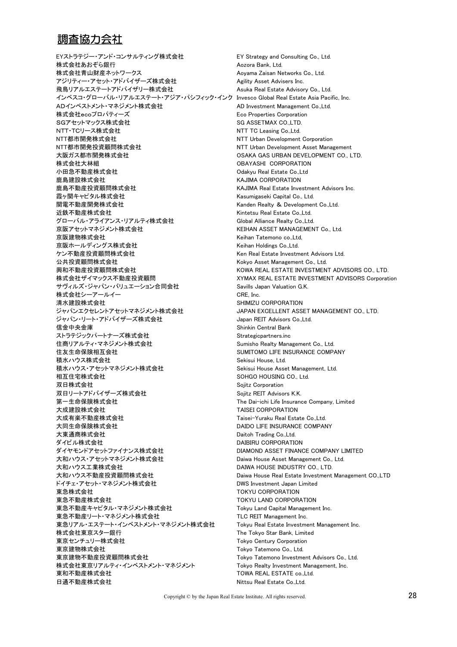#### 調査協力会社

EYストラテジー・アンド・コンサルティング株式会社 EY Strategy and Consulting Co., Ltd. **株式会社あおぞら銀行 Aozora Bank, Ltd.** Aozora Bank, Ltd. 株式会社青山財産ネットワークス インディング Aoyama Zaisan Networks Co., Ltd. アジリティー・アセット・アドバイザーズ株式会社 Agility Asset Advisers Inc. 飛鳥リアルエステートアドバイザリー株式会社 Asuka Real Estate Advisory Co., Ltd. インベスコ・グローバル・リアルエステート・アジア・パシフィック・インク Invesco Global Real Estate Asia Pacific, Inc. ADインベストメント・マネジメント株式会社 AD Investment Management Co.,Ltd. 株式会社ecoプロパティーズ Eco Properties Corporation SGアセットマックス株式会社 SG ASSETMAX CO.,LTD. NTT・TCリース株式会社 インパンの NTT TC Leasing Co.,Ltd. NTT都市開発株式会社 インディング NTT Urban Development Corporation NTT都市開発投資顧問株式会社 インディング NTT Urban Development Asset Management 大阪ガス都市開発株式会社 COSAKA GAS URBAN DEVELOPMENT CO., LTD. 株式会社大林組 ファイン エンジェン エンジェン OBAYASHI CORPORATION 小田急不動産株式会社 Odakyu Real Estate Co.,Ltd 鹿島建設株式会社 インファイン インタイム KAJIMA CORPORATION 鹿島不動産投資顧問株式会社 KAJIMA Real Estate Investment Advisors Inc. 霞ヶ関キャピタル株式会社 Kasumigaseki Capital Co., Ltd. 関電不動産開発株式会社 Kanden Realty & Development Co.,Ltd. 近鉄不動産株式会社 インディング インディング Kintetsu Real Estate Co.,Ltd. グローバル・アライアンス・リアルティ株式会社 Global Alliance Realty Co.,Ltd. 京阪アセットマネジメント株式会社 インディング KEIHAN ASSET MANAGEMENT Co., Ltd. 京阪建物株式会社 インディング インディング Heihan Tatemono co.,Ltd, 京阪ホールディングス株式会社 Keihan Holdings Co.,Ltd. ケン不動産投資顧問株式会社 Ken Real Estate Investment Advisors Ltd. 公共投資顧問株式会社 **Kokyo Asset Management Co., Ltd.** 興和不動産投資顧問株式会社 インディング KOWA REAL ESTATE INVESTMENT ADVISORS CO., LTD. 株式会社ザイマックス不動産投資顧問 XYMAX REAL ESTATE INVESTMENT ADVISORS Corporation サヴィルズ・ジャパン・バリュエーション合同会社 Savills Japan Valuation G.K. 株式会社シーアールイー インファイル CRE, Inc. 清水建設株式会社 およびのおよびのおよびのおよび SHIMIZU CORPORATION ジャパンエクセレントアセットマネジメント株式会社 JAPAN EXCELLENT ASSET MANAGEMENT CO., LTD. ジャパン・リート・アドバイザーズ株式会社 Japan REIT Advisors Co.,Ltd. 信金中央金庫 Shinkin Central Bank ストラテジックパートナーズ株式会社 Strategicpartners.inc 住商リアルティ・マネジメント株式会社 Sumisho Realty Management Co., Ltd. 住友生命保険相互会社 SUMITOMO LIFE INSURANCE COMPANY 積水ハウス株式会社 Sekisui House, Ltd. 積水ハウス・アセットマネジメント株式会社 Sekisui House Asset Management, Ltd. 相互住宅株式会社 SOHGO HOUSING CO., Ltd. 双日株式会社 Sojitz Corporation 双日リートアドバイザーズ株式会社 Sojitz REIT Advisors K.K. 第一生命保険株式会社 The Dai-ichi Life Insurance Company, Limited 大成建設株式会社 いちについて しょうしゃ TAISEI CORPORATION 大成有楽不動産株式会社 Taisei-Yuraku Real Estate Co.,Ltd. 大同生命保険株式会社 ファイン DAIDO LIFE INSURANCE COMPANY 大東通商株式会社 **Daitoh Trading Co.,Ltd.** ダイビル株式会社 DAIBIRU CORPORATION ダイヤモンドアセットファイナンス株式会社 **DIAMOND ASSET FINANCE COMPANY LIMITED** 大和ハウス・アセットマネジメント株式会社 Daiwa House Asset Management Co., Ltd. 大和ハウス工業株式会社 ファインストリック DAIWA HOUSE INDUSTRY CO., LTD. 大和ハウス不動産投資顧問株式会社 ファイン Daiwa House Real Estate Investment Management CO.,LTD ドイチェ・アセット・マネジメント株式会社 DWS Investment Japan Limited 東急株式会社 TOKYU CORPORATION 東急不動産株式会社 インスタンド インディング エンジェン TOKYU LAND CORPORATION 東急不動産キャピタル・マネジメント株式会社 Tokyu Land Capital Management Inc. 東急不動産リート・マネジメント株式会社 TLC REIT Management Inc. 東急リアル・エステート・インベストメント・マネジメント株式会社 Tokyu Real Estate Investment Management Inc. 株式会社東京スター銀行 The Tokyo Star Bank, Limited 東京センチュリー株式会社 マンディング Tokyo Century Corporation 東京建物株式会社 インファイン Tokyo Tatemono Co., Ltd. 東京建物不動産投資顧問株式会社 Tokyo Tatemono Investment Advisors Co., Ltd. 株式会社東京リアルティ・インベストメント・マネジメント Tokyo Realty Investment Management, Inc. 東和不動産株式会社 マンディング TOWA REAL ESTATE co.,Ltd. 日通不動産株式会社 Nittsu Real Estate Co.,Ltd.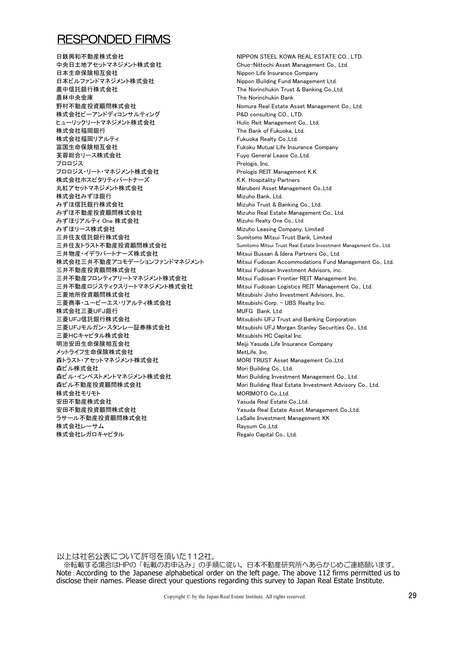#### RESPONDED FIRMS

日鉄興和不動産株式会社 マンディング・コンピュー NIPPON STEFL KOWA REAL ESTATE CO., LTD. 中央日土地アセットマネジメント株式会社 Chuo-Nittochi Asset Management Co., Ltd. 日本生命保険相互会社 Nippon Life Insurance Company 日本ビルファンドマネジメント株式会社 Nippon Building Fund Management Ltd. 農中信託銀行株式会社 The Norinchukin Trust & Banking Co.,Ltd. **農林中央金庫 The Norinchukin Bank** 野村不動産投資顧問株式会社 Nomura Real Estate Asset Management Co., Ltd. 株式会社ピーアンドディコンサルティング P&D consulting CO., LTD. ヒューリックリートマネジメント株式会社 Hulic Reit Management Co., Ltd. **株式会社福岡銀行** インファイン The Bank of Fukuoka, Ltd. 株式会社福岡リアルティ インパン Marian America Realty Co.,Ltd. 富国生命保険相互会社 Fukoku Mutual Life Insurance Company 芙蓉総合リース株式会社 Fuyo General Lease Co.,Ltd. プロロジス Prologis, Inc. プロロジス・リート・マネジメント株式会社 Prologis REIT Management K.K. 株式会社ホスピタリティパートナーズ K.K. Hospitality Partners 丸紅アセットマネジメント株式会社 Marubeni Asset Management Co.,Ltd 株式会社みずほ銀行 インパン Mizuho Bank, Ltd. みずほ信託銀行株式会社 インディング Mizuho Trust & Banking Co., Ltd. みずほ不動産投資顧問株式会社 インスタン Mizuho Real Estate Management Co., Ltd. みずほリアルティ One 株式会社 インパン Mizuho Realty One Co., Ltd. みずほリース株式会社 インファイン Mizuho Leasing Company, Limited 三井住友信託銀行株式会社 Sumitomo Mitsui Trust Bank, Limited 三井物産・イデラパートナーズ株式会社 Mitsui Bussan & Idera Partners Co., Ltd. 三井不動産投資顧問株式会社 Mitsui Fudosan Investment Advisors, inc. 三井不動産フロンティアリートマネジメント株式会社 Mitsui Fudosan Frontier REIT Management Inc. 三井不動産ロジスティクスリートマネジメント株式会社 Mitsui Fudosan Logistics REIT Management Co., Ltd. 三菱地所投資顧問株式会社 Mitsubishi Jisho Investment Advisors, Inc. 三菱商事・ユービーエス・リアルティ株式会社 Mitsubishi Corp. - UBS Realty Inc. 株式会社三菱UFJ銀行 インファイル MUFG Bank, Ltd. 三菱UFJ信託銀行株式会社 インディング Mitsubishi UFJ Trust and Banking Corporation 三菱UFJモルガン・スタンレー証券株式会社 Mitsubishi UFJ Morgan Stanley Securities Co., Ltd. 三菱HCキャピタル株式会社 Mitsubishi HC Capital Inc. 明治安田生命保険相互会社 インディング Meiji Yasuda Life Insurance Company メットライフ生命保険株式会社 MetLife, Inc. 森トラスト・アセットマネジメント株式会社 MORI TRUST Asset Management Co.,Ltd. 森ビル株式会社 インファイル Mori Building Co., Ltd. 森ビル・インベストメントマネジメント株式会社 Mori Building Investment Management Co., Ltd. 森ビル不動産投資顧問株式会社 インディング Mori Building Real Estate Investment Advisory Co., Ltd. 株式会社モリモト MORIMOTO Co.,Ltd. 安田不動産株式会社 Yasuda Real Estate Co.,Ltd. 安田不動産投資顧問株式会社 Yasuda Real Estate Asset Management Co.,Ltd. ラサール不動産投資顧問株式会社 LaSalle Investment Management KK 株式会社レーサム Raysum Co.,Ltd. 株式会社レガロキャピタル Regalo Capital Co., Ltd.

三井住友トラスト不動産投資顧問株式会社 Sumitomo Mitsui Trust Real Estate Investment Management Co., Ltd. 株式会社三井不動産アコモデーションファンドマネジメント Mitsui Fudosan Accommodations Fund Management Co., Ltd.

以上は社名公表について許可を頂いた112社。

Note: According to the Japanese alphabetical order on the left page. The above 112 firms permitted us to disclose their names. Please direct your questions regarding this survey to Japan Real Estate Institute. ※転載する場合はHPの「転載のお申込み」の手順に従い、日本不動産研究所へあらかじめご連絡願います。